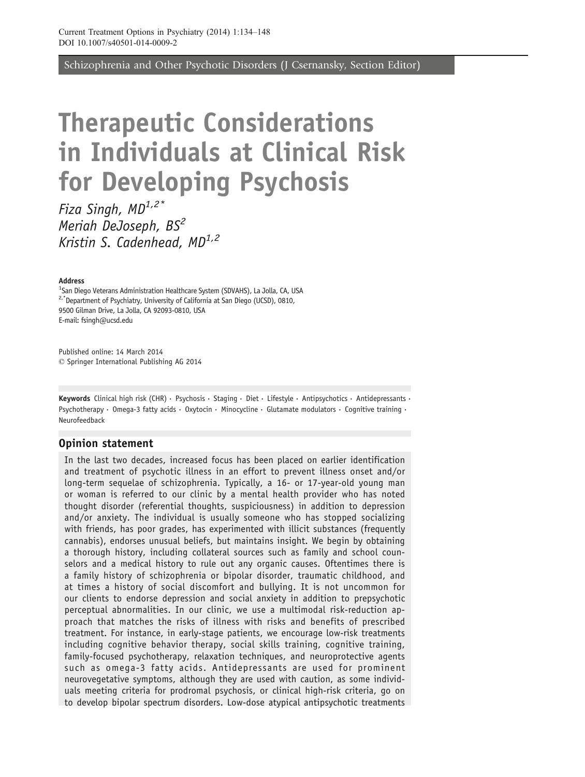Schizophrenia and Other Psychotic Disorders (J Csernansky, Section Editor)

# Therapeutic Considerations in Individuals at Clinical Risk for Developing Psychosis

Fiza Singh,  $MD^{1,2*}$ Meriah DeJoseph,  $BS^2$ Kristin S. Cadenhead,  $MD^{1,2}$ 

#### **Address**

<sup>1</sup>San Diego Veterans Administration Healthcare System (SDVAHS), La Jolla, CA, USA <sup>2,\*</sup>Department of Psychiatry, University of California at San Diego (UCSD), 0810, 9500 Gilman Drive, La Jolla, CA 92093-0810, USA E-mail: fsingh@ucsd.edu

Published online: 14 March 2014  $\oslash$  Springer International Publishing AG 2014

Keywords Clinical high risk (CHR) · Psychosis · Staging · Diet · Lifestyle · Antipsychotics · Antidepressants · Psychotherapy · Omega-3 fatty acids · Oxytocin · Minocycline · Glutamate modulators · Cognitive training · Neurofeedback

# Opinion statement

In the last two decades, increased focus has been placed on earlier identification and treatment of psychotic illness in an effort to prevent illness onset and/or long-term sequelae of schizophrenia. Typically, a 16- or 17-year-old young man or woman is referred to our clinic by a mental health provider who has noted thought disorder (referential thoughts, suspiciousness) in addition to depression and/or anxiety. The individual is usually someone who has stopped socializing with friends, has poor grades, has experimented with illicit substances (frequently cannabis), endorses unusual beliefs, but maintains insight. We begin by obtaining a thorough history, including collateral sources such as family and school counselors and a medical history to rule out any organic causes. Oftentimes there is a family history of schizophrenia or bipolar disorder, traumatic childhood, and at times a history of social discomfort and bullying. It is not uncommon for our clients to endorse depression and social anxiety in addition to prepsychotic perceptual abnormalities. In our clinic, we use a multimodal risk-reduction approach that matches the risks of illness with risks and benefits of prescribed treatment. For instance, in early-stage patients, we encourage low-risk treatments including cognitive behavior therapy, social skills training, cognitive training, family-focused psychotherapy, relaxation techniques, and neuroprotective agents such as omega-3 fatty acids. Antidepressants are used for prominent neurovegetative symptoms, although they are used with caution, as some individuals meeting criteria for prodromal psychosis, or clinical high-risk criteria, go on to develop bipolar spectrum disorders. Low-dose atypical antipsychotic treatments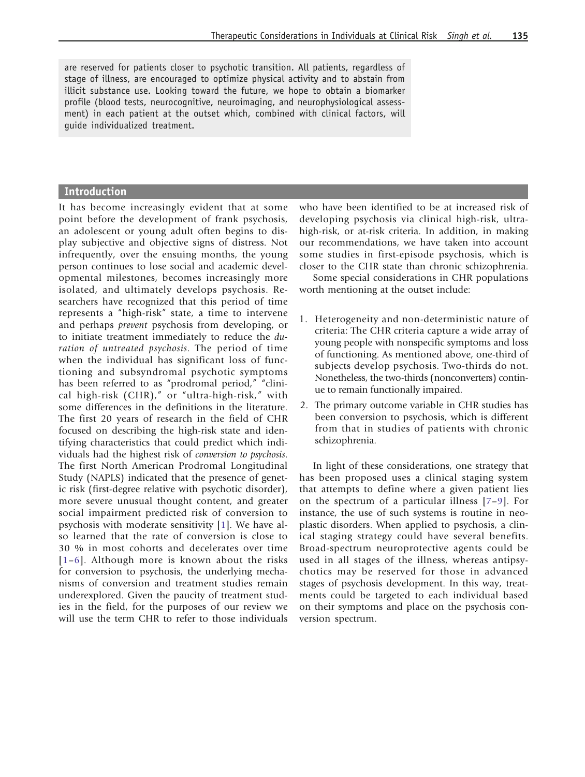are reserved for patients closer to psychotic transition. All patients, regardless of stage of illness, are encouraged to optimize physical activity and to abstain from illicit substance use. Looking toward the future, we hope to obtain a biomarker profile (blood tests, neurocognitive, neuroimaging, and neurophysiological assessment) in each patient at the outset which, combined with clinical factors, will guide individualized treatment.

### Introduction

It has become increasingly evident that at some point before the development of frank psychosis, an adolescent or young adult often begins to display subjective and objective signs of distress. Not infrequently, over the ensuing months, the young person continues to lose social and academic developmental milestones, becomes increasingly more isolated, and ultimately develops psychosis. Researchers have recognized that this period of time represents a "high-risk" state, a time to intervene and perhaps prevent psychosis from developing, or to initiate treatment immediately to reduce the duration of untreated psychosis. The period of time when the individual has significant loss of functioning and subsyndromal psychotic symptoms has been referred to as "prodromal period," "clinical high-risk (CHR)," or "ultra-high-risk," with some differences in the definitions in the literature. The first 20 years of research in the field of CHR focused on describing the high-risk state and identifying characteristics that could predict which individuals had the highest risk of conversion to psychosis. The first North American Prodromal Longitudinal Study (NAPLS) indicated that the presence of genetic risk (first-degree relative with psychotic disorder), more severe unusual thought content, and greater social impairment predicted risk of conversion to psychosis with moderate sensitivity [[1](#page-11-0)]. We have also learned that the rate of conversion is close to 30 % in most cohorts and decelerates over time [[1](#page-11-0)–[6\]](#page-11-0). Although more is known about the risks for conversion to psychosis, the underlying mechanisms of conversion and treatment studies remain underexplored. Given the paucity of treatment studies in the field, for the purposes of our review we will use the term CHR to refer to those individuals who have been identified to be at increased risk of developing psychosis via clinical high-risk, ultrahigh-risk, or at-risk criteria. In addition, in making our recommendations, we have taken into account some studies in first-episode psychosis, which is closer to the CHR state than chronic schizophrenia.

Some special considerations in CHR populations worth mentioning at the outset include:

- 1. Heterogeneity and non-deterministic nature of criteria: The CHR criteria capture a wide array of young people with nonspecific symptoms and loss of functioning. As mentioned above, one-third of subjects develop psychosis. Two-thirds do not. Nonetheless, the two-thirds (nonconverters) continue to remain functionally impaired.
- 2. The primary outcome variable in CHR studies has been conversion to psychosis, which is different from that in studies of patients with chronic schizophrenia.

In light of these considerations, one strategy that has been proposed uses a clinical staging system that attempts to define where a given patient lies on the spectrum of a particular illness [[7](#page-11-0)–[9](#page-11-0)]. For instance, the use of such systems is routine in neoplastic disorders. When applied to psychosis, a clinical staging strategy could have several benefits. Broad-spectrum neuroprotective agents could be used in all stages of the illness, whereas antipsychotics may be reserved for those in advanced stages of psychosis development. In this way, treatments could be targeted to each individual based on their symptoms and place on the psychosis conversion spectrum.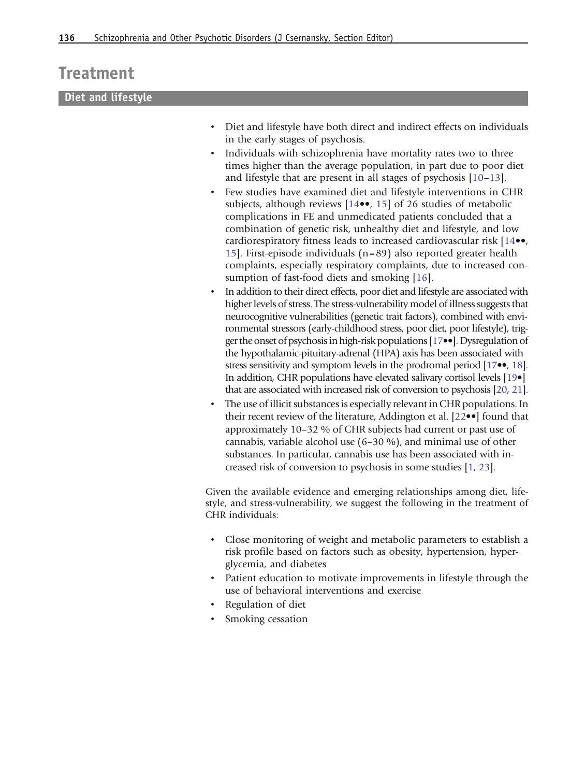# **Treatment**

# Diet and lifestyle

- & Diet and lifestyle have both direct and indirect effects on individuals in the early stages of psychosis.
- Individuals with schizophrenia have mortality rates two to three times higher than the average population, in part due to poor diet and lifestyle that are present in all stages of psychosis [[10](#page-11-0)–[13\]](#page-11-0).
- Few studies have examined diet and lifestyle interventions in CHR subjects, although reviews [[14](#page-11-0)••, [15](#page-11-0)] of 26 studies of metabolic complications in FE and unmedicated patients concluded that a combination of genetic risk, unhealthy diet and lifestyle, and low cardiorespiratory fitness leads to increased cardiovascular risk [\[14](#page-11-0)••, [15\]](#page-11-0). First-episode individuals (n=89) also reported greater health complaints, especially respiratory complaints, due to increased consumption of fast-food diets and smoking [[16](#page-11-0)].
- In addition to their direct effects, poor diet and lifestyle are associated with higher levels of stress. The stress-vulnerability model of illness suggests that neurocognitive vulnerabilities (genetic trait factors), combined with environmental stressors (early-childhood stress, poor diet, poor lifestyle), trigger the onset of psychosis in high-risk populations [\[17](#page-11-0)••]. Dysregulation of the hypothalamic-pituitary-adrenal (HPA) axis has been associated with stress sensitivity and symptom levels in the prodromal period [\[17](#page-11-0)••, [18](#page-11-0)]. In addition, CHR populations have elevated salivary cortisol levels [\[19](#page-11-0)•] that are associated with increased risk of conversion to psychosis [\[20](#page-12-0), [21](#page-12-0)].
- The use of illicit substances is especially relevant in CHR populations. In their recent review of the literature, Addington et al. [\[22](#page-12-0)••] found that approximately 10–32 % of CHR subjects had current or past use of cannabis, variable alcohol use (6–30 %), and minimal use of other substances. In particular, cannabis use has been associated with increased risk of conversion to psychosis in some studies [[1](#page-11-0), [23\]](#page-12-0).

Given the available evidence and emerging relationships among diet, lifestyle, and stress-vulnerability, we suggest the following in the treatment of CHR individuals:

- Close monitoring of weight and metabolic parameters to establish a risk profile based on factors such as obesity, hypertension, hyperglycemia, and diabetes
- Patient education to motivate improvements in lifestyle through the use of behavioral interventions and exercise
- Regulation of diet
- Smoking cessation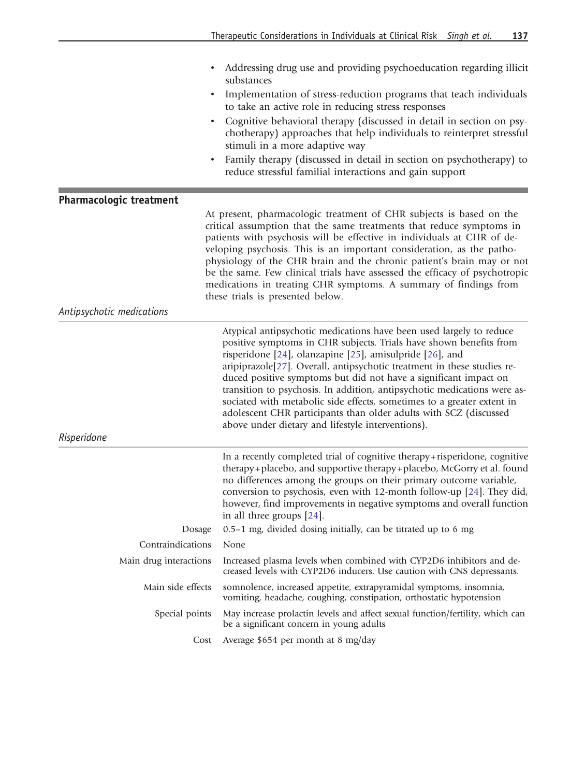| ٠<br>٠<br>٠               | Addressing drug use and providing psychoeducation regarding illicit<br>substances<br>Implementation of stress-reduction programs that teach individuals<br>to take an active role in reducing stress responses<br>Cognitive behavioral therapy (discussed in detail in section on psy-<br>chotherapy) approaches that help individuals to reinterpret stressful<br>stimuli in a more adaptive way<br>Family therapy (discussed in detail in section on psychotherapy) to<br>reduce stressful familial interactions and gain support                                                                                                  |
|---------------------------|--------------------------------------------------------------------------------------------------------------------------------------------------------------------------------------------------------------------------------------------------------------------------------------------------------------------------------------------------------------------------------------------------------------------------------------------------------------------------------------------------------------------------------------------------------------------------------------------------------------------------------------|
| Pharmacologic treatment   |                                                                                                                                                                                                                                                                                                                                                                                                                                                                                                                                                                                                                                      |
|                           | At present, pharmacologic treatment of CHR subjects is based on the<br>critical assumption that the same treatments that reduce symptoms in<br>patients with psychosis will be effective in individuals at CHR of de-<br>veloping psychosis. This is an important consideration, as the patho-<br>physiology of the CHR brain and the chronic patient's brain may or not<br>be the same. Few clinical trials have assessed the efficacy of psychotropic<br>medications in treating CHR symptoms. A summary of findings from<br>these trials is presented below.                                                                      |
| Antipsychotic medications |                                                                                                                                                                                                                                                                                                                                                                                                                                                                                                                                                                                                                                      |
| Risperidone               | Atypical antipsychotic medications have been used largely to reduce<br>positive symptoms in CHR subjects. Trials have shown benefits from<br>risperidone [24], olanzapine [25], amisulpride [26], and<br>aripiprazole[27]. Overall, antipsychotic treatment in these studies re-<br>duced positive symptoms but did not have a significant impact on<br>transition to psychosis. In addition, antipsychotic medications were as-<br>sociated with metabolic side effects, sometimes to a greater extent in<br>adolescent CHR participants than older adults with SCZ (discussed<br>above under dietary and lifestyle interventions). |
| Dosage                    | In a recently completed trial of cognitive therapy+risperidone, cognitive<br>therapy+placebo, and supportive therapy+placebo, McGorry et al. found<br>no differences among the groups on their primary outcome variable,<br>conversion to psychosis, even with 12-month follow-up [24]. They did,<br>however, find improvements in negative symptoms and overall function<br>in all three groups [24].<br>0.5-1 mg, divided dosing initially, can be titrated up to 6 mg                                                                                                                                                             |
| Contraindications         | None                                                                                                                                                                                                                                                                                                                                                                                                                                                                                                                                                                                                                                 |
| Main drug interactions    | Increased plasma levels when combined with CYP2D6 inhibitors and de-<br>creased levels with CYP2D6 inducers. Use caution with CNS depressants.                                                                                                                                                                                                                                                                                                                                                                                                                                                                                       |
| Main side effects         | somnolence, increased appetite, extrapyramidal symptoms, insomnia,<br>vomiting, headache, coughing, constipation, orthostatic hypotension                                                                                                                                                                                                                                                                                                                                                                                                                                                                                            |
| Special points            | May increase prolactin levels and affect sexual function/fertility, which can<br>be a significant concern in young adults                                                                                                                                                                                                                                                                                                                                                                                                                                                                                                            |
| Cost                      | Average \$654 per month at 8 mg/day                                                                                                                                                                                                                                                                                                                                                                                                                                                                                                                                                                                                  |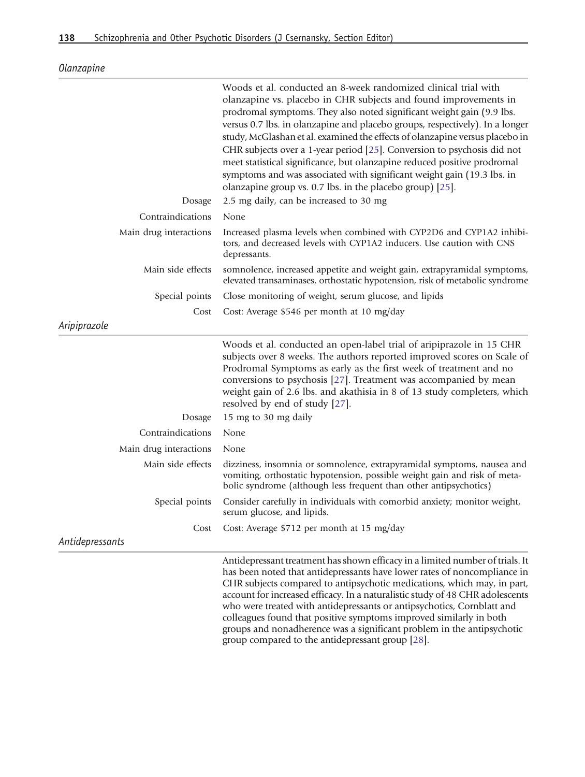# Olanzapine

|                        | Woods et al. conducted an 8-week randomized clinical trial with<br>olanzapine vs. placebo in CHR subjects and found improvements in<br>prodromal symptoms. They also noted significant weight gain (9.9 lbs.<br>versus 0.7 lbs. in olanzapine and placebo groups, respectively). In a longer<br>study, McGlashan et al. examined the effects of olanzapine versus placebo in<br>CHR subjects over a 1-year period [25]. Conversion to psychosis did not<br>meet statistical significance, but olanzapine reduced positive prodromal<br>symptoms and was associated with significant weight gain (19.3 lbs. in<br>olanzapine group vs. 0.7 lbs. in the placebo group) [25]. |
|------------------------|----------------------------------------------------------------------------------------------------------------------------------------------------------------------------------------------------------------------------------------------------------------------------------------------------------------------------------------------------------------------------------------------------------------------------------------------------------------------------------------------------------------------------------------------------------------------------------------------------------------------------------------------------------------------------|
| Dosage                 | 2.5 mg daily, can be increased to 30 mg                                                                                                                                                                                                                                                                                                                                                                                                                                                                                                                                                                                                                                    |
| Contraindications      | None                                                                                                                                                                                                                                                                                                                                                                                                                                                                                                                                                                                                                                                                       |
| Main drug interactions | Increased plasma levels when combined with CYP2D6 and CYP1A2 inhibi-<br>tors, and decreased levels with CYP1A2 inducers. Use caution with CNS<br>depressants.                                                                                                                                                                                                                                                                                                                                                                                                                                                                                                              |
| Main side effects      | somnolence, increased appetite and weight gain, extrapyramidal symptoms,<br>elevated transaminases, orthostatic hypotension, risk of metabolic syndrome                                                                                                                                                                                                                                                                                                                                                                                                                                                                                                                    |
| Special points         | Close monitoring of weight, serum glucose, and lipids                                                                                                                                                                                                                                                                                                                                                                                                                                                                                                                                                                                                                      |
| Cost                   | Cost: Average \$546 per month at 10 mg/day                                                                                                                                                                                                                                                                                                                                                                                                                                                                                                                                                                                                                                 |
| Aripiprazole           |                                                                                                                                                                                                                                                                                                                                                                                                                                                                                                                                                                                                                                                                            |
|                        | Woods et al. conducted an open-label trial of aripiprazole in 15 CHR<br>subjects over 8 weeks. The authors reported improved scores on Scale of<br>Prodromal Symptoms as early as the first week of treatment and no<br>conversions to psychosis [27]. Treatment was accompanied by mean<br>weight gain of 2.6 lbs. and akathisia in 8 of 13 study completers, which<br>resolved by end of study [27].                                                                                                                                                                                                                                                                     |
| Dosage                 | 15 mg to 30 mg daily                                                                                                                                                                                                                                                                                                                                                                                                                                                                                                                                                                                                                                                       |
| Contraindications      | None                                                                                                                                                                                                                                                                                                                                                                                                                                                                                                                                                                                                                                                                       |
| Main drug interactions | None                                                                                                                                                                                                                                                                                                                                                                                                                                                                                                                                                                                                                                                                       |
| Main side effects      | dizziness, insomnia or somnolence, extrapyramidal symptoms, nausea and<br>vomiting, orthostatic hypotension, possible weight gain and risk of meta-<br>bolic syndrome (although less frequent than other antipsychotics)                                                                                                                                                                                                                                                                                                                                                                                                                                                   |
| Special points         | Consider carefully in individuals with comorbid anxiety; monitor weight,<br>serum glucose, and lipids.                                                                                                                                                                                                                                                                                                                                                                                                                                                                                                                                                                     |
| Cost                   | Cost: Average \$712 per month at 15 mg/day                                                                                                                                                                                                                                                                                                                                                                                                                                                                                                                                                                                                                                 |
| Antidepressants        |                                                                                                                                                                                                                                                                                                                                                                                                                                                                                                                                                                                                                                                                            |
|                        | Antidepressant treatment has shown efficacy in a limited number of trials. It<br>has been noted that antidepressants have lower rates of noncompliance in<br>CHR subjects compared to antipsychotic medications, which may, in part,<br>account for increased efficacy. In a naturalistic study of 48 CHR adolescents<br>who were treated with antidepressants or antipsychotics, Cornblatt and<br>colleagues found that positive symptoms improved similarly in both<br>groups and nonadherence was a significant problem in the antipsychotic                                                                                                                            |

group compared to the antidepressant group [[28](#page-12-0)].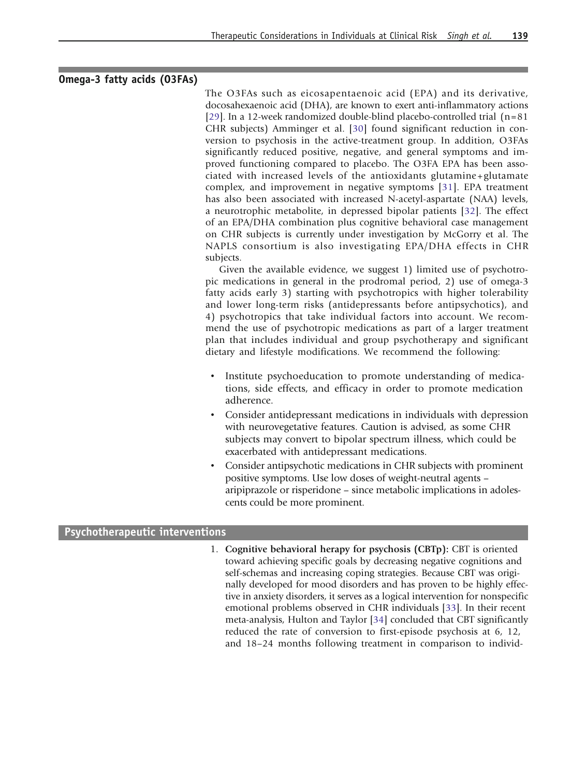# Omega-3 fatty acids (O3FAs)

The O3FAs such as eicosapentaenoic acid (EPA) and its derivative, docosahexaenoic acid (DHA), are known to exert anti-inflammatory actions [[29\]](#page-12-0). In a 12-week randomized double-blind placebo-controlled trial (n=81 CHR subjects) Amminger et al. [\[30](#page-12-0)] found significant reduction in conversion to psychosis in the active-treatment group. In addition, O3FAs significantly reduced positive, negative, and general symptoms and improved functioning compared to placebo. The O3FA EPA has been associated with increased levels of the antioxidants glutamine+glutamate complex, and improvement in negative symptoms [[31\]](#page-12-0). EPA treatment has also been associated with increased N-acetyl-aspartate (NAA) levels, a neurotrophic metabolite, in depressed bipolar patients [[32](#page-12-0)]. The effect of an EPA/DHA combination plus cognitive behavioral case management on CHR subjects is currently under investigation by McGorry et al. The NAPLS consortium is also investigating EPA/DHA effects in CHR subjects.

Given the available evidence, we suggest 1) limited use of psychotropic medications in general in the prodromal period, 2) use of omega-3 fatty acids early 3) starting with psychotropics with higher tolerability and lower long-term risks (antidepressants before antipsychotics), and 4) psychotropics that take individual factors into account. We recommend the use of psychotropic medications as part of a larger treatment plan that includes individual and group psychotherapy and significant dietary and lifestyle modifications. We recommend the following:

- & Institute psychoeducation to promote understanding of medications, side effects, and efficacy in order to promote medication adherence.
- & Consider antidepressant medications in individuals with depression with neurovegetative features. Caution is advised, as some CHR subjects may convert to bipolar spectrum illness, which could be exacerbated with antidepressant medications.
- & Consider antipsychotic medications in CHR subjects with prominent positive symptoms. Use low doses of weight-neutral agents – aripiprazole or risperidone – since metabolic implications in adolescents could be more prominent.

# Psychotherapeutic interventions

1. Cognitive behavioral herapy for psychosis (CBTp): CBT is oriented toward achieving specific goals by decreasing negative cognitions and self-schemas and increasing coping strategies. Because CBT was originally developed for mood disorders and has proven to be highly effective in anxiety disorders, it serves as a logical intervention for nonspecific emotional problems observed in CHR individuals [[33\]](#page-12-0). In their recent meta-analysis, Hulton and Taylor [\[34](#page-12-0)] concluded that CBT significantly reduced the rate of conversion to first-episode psychosis at 6, 12, and 18–24 months following treatment in comparison to individ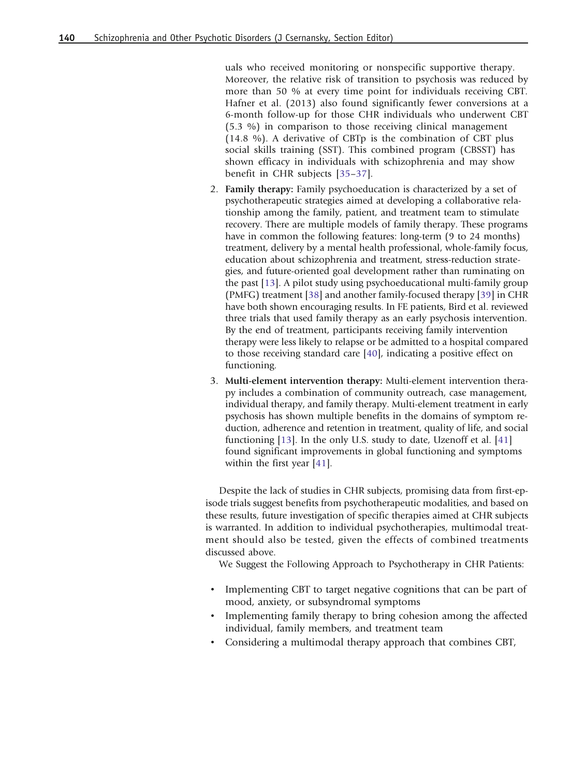uals who received monitoring or nonspecific supportive therapy. Moreover, the relative risk of transition to psychosis was reduced by more than 50 % at every time point for individuals receiving CBT. Hafner et al. (2013) also found significantly fewer conversions at a 6-month follow-up for those CHR individuals who underwent CBT (5.3 %) in comparison to those receiving clinical management (14.8 %). A derivative of CBTp is the combination of CBT plus social skills training (SST). This combined program (CBSST) has shown efficacy in individuals with schizophrenia and may show benefit in CHR subjects [[35](#page-12-0)–[37\]](#page-12-0).

- 2. Family therapy: Family psychoeducation is characterized by a set of psychotherapeutic strategies aimed at developing a collaborative relationship among the family, patient, and treatment team to stimulate recovery. There are multiple models of family therapy. These programs have in common the following features: long-term (9 to 24 months) treatment, delivery by a mental health professional, whole-family focus, education about schizophrenia and treatment, stress-reduction strategies, and future-oriented goal development rather than ruminating on the past [\[13](#page-11-0)]. A pilot study using psychoeducational multi-family group (PMFG) treatment [\[38](#page-12-0)] and another family-focused therapy [\[39](#page-13-0)] in CHR have both shown encouraging results. In FE patients, Bird et al. reviewed three trials that used family therapy as an early psychosis intervention. By the end of treatment, participants receiving family intervention therapy were less likely to relapse or be admitted to a hospital compared to those receiving standard care [\[40](#page-13-0)], indicating a positive effect on functioning.
- 3. Multi-element intervention therapy: Multi-element intervention therapy includes a combination of community outreach, case management, individual therapy, and family therapy. Multi-element treatment in early psychosis has shown multiple benefits in the domains of symptom reduction, adherence and retention in treatment, quality of life, and social functioning [[13](#page-11-0)]. In the only U.S. study to date, Uzenoff et al. [\[41](#page-13-0)] found significant improvements in global functioning and symptoms within the first year [[41\]](#page-13-0).

Despite the lack of studies in CHR subjects, promising data from first-episode trials suggest benefits from psychotherapeutic modalities, and based on these results, future investigation of specific therapies aimed at CHR subjects is warranted. In addition to individual psychotherapies, multimodal treatment should also be tested, given the effects of combined treatments discussed above.

We Suggest the Following Approach to Psychotherapy in CHR Patients:

- Implementing CBT to target negative cognitions that can be part of mood, anxiety, or subsyndromal symptoms
- & Implementing family therapy to bring cohesion among the affected individual, family members, and treatment team
- Considering a multimodal therapy approach that combines CBT,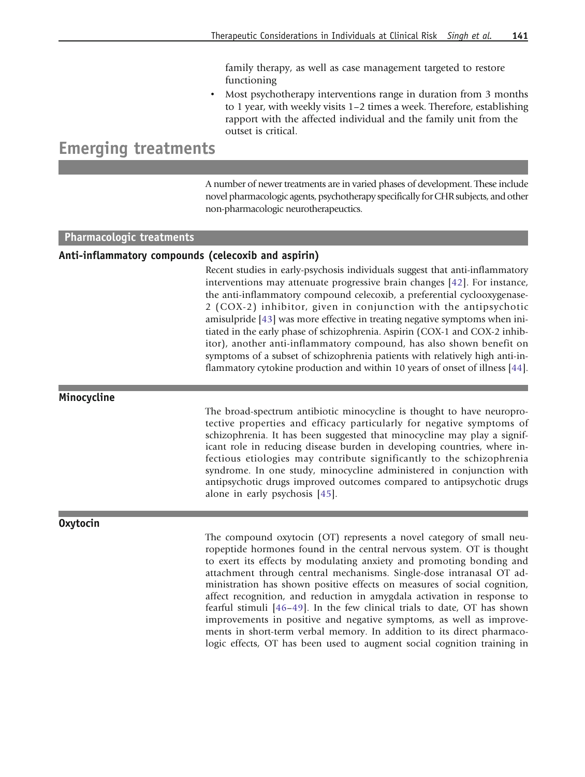family therapy, as well as case management targeted to restore functioning

& Most psychotherapy interventions range in duration from 3 months to 1 year, with weekly visits 1–2 times a week. Therefore, establishing rapport with the affected individual and the family unit from the outset is critical.

# Emerging treatments

A number of newer treatments are in varied phases of development. These include novel pharmacologic agents, psychotherapy specifically for CHR subjects, and other non-pharmacologic neurotherapeuctics.

# Pharmacologic treatments

#### Anti-inflammatory compounds (celecoxib and aspirin)

Recent studies in early-psychosis individuals suggest that anti-inflammatory interventions may attenuate progressive brain changes [[42](#page-13-0)]. For instance, the anti-inflammatory compound celecoxib, a preferential cyclooxygenase-2 (COX-2) inhibitor, given in conjunction with the antipsychotic amisulpride [[43\]](#page-13-0) was more effective in treating negative symptoms when initiated in the early phase of schizophrenia. Aspirin (COX-1 and COX-2 inhibitor), another anti-inflammatory compound, has also shown benefit on symptoms of a subset of schizophrenia patients with relatively high anti-in-flammatory cytokine production and within 10 years of onset of illness [\[44](#page-13-0)].

# Minocycline

The broad-spectrum antibiotic minocycline is thought to have neuroprotective properties and efficacy particularly for negative symptoms of schizophrenia. It has been suggested that minocycline may play a significant role in reducing disease burden in developing countries, where infectious etiologies may contribute significantly to the schizophrenia syndrome. In one study, minocycline administered in conjunction with antipsychotic drugs improved outcomes compared to antipsychotic drugs alone in early psychosis [\[45\]](#page-13-0).

#### Oxytocin

The compound oxytocin (OT) represents a novel category of small neuropeptide hormones found in the central nervous system. OT is thought to exert its effects by modulating anxiety and promoting bonding and attachment through central mechanisms. Single-dose intranasal OT administration has shown positive effects on measures of social cognition, affect recognition, and reduction in amygdala activation in response to fearful stimuli [[46](#page-13-0)–[49\]](#page-13-0). In the few clinical trials to date, OT has shown improvements in positive and negative symptoms, as well as improvements in short-term verbal memory. In addition to its direct pharmacologic effects, OT has been used to augment social cognition training in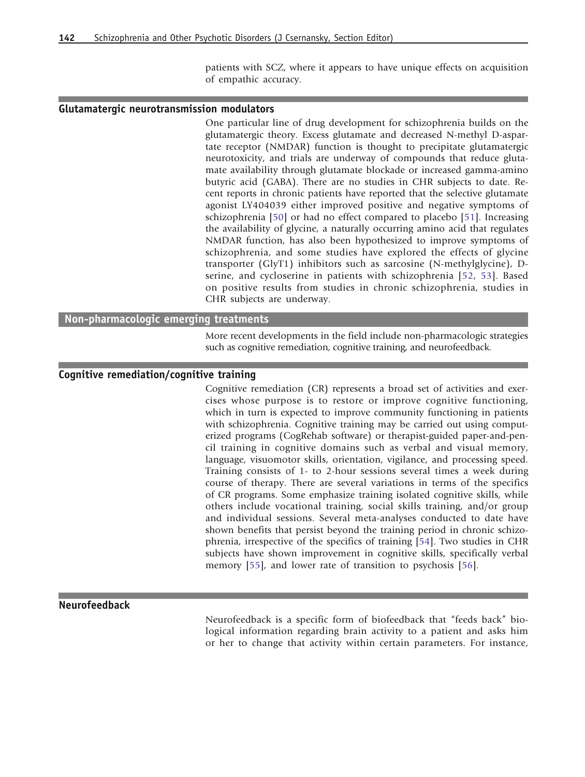patients with SCZ, where it appears to have unique effects on acquisition of empathic accuracy.

#### Glutamatergic neurotransmission modulators

One particular line of drug development for schizophrenia builds on the glutamatergic theory. Excess glutamate and decreased N-methyl D-aspartate receptor (NMDAR) function is thought to precipitate glutamatergic neurotoxicity, and trials are underway of compounds that reduce glutamate availability through glutamate blockade or increased gamma-amino butyric acid (GABA). There are no studies in CHR subjects to date. Recent reports in chronic patients have reported that the selective glutamate agonist LY404039 either improved positive and negative symptoms of schizophrenia [[50\]](#page-13-0) or had no effect compared to placebo [[51\]](#page-13-0). Increasing the availability of glycine, a naturally occurring amino acid that regulates NMDAR function, has also been hypothesized to improve symptoms of schizophrenia, and some studies have explored the effects of glycine transporter (GlyT1) inhibitors such as sarcosine (N-methylglycine), Dserine, and cycloserine in patients with schizophrenia [[52](#page-13-0), [53](#page-13-0)]. Based on positive results from studies in chronic schizophrenia, studies in CHR subjects are underway.

# Non-pharmacologic emerging treatments

More recent developments in the field include non-pharmacologic strategies such as cognitive remediation, cognitive training, and neurofeedback.

### Cognitive remediation/cognitive training

Cognitive remediation (CR) represents a broad set of activities and exercises whose purpose is to restore or improve cognitive functioning, which in turn is expected to improve community functioning in patients with schizophrenia. Cognitive training may be carried out using computerized programs (CogRehab software) or therapist-guided paper-and-pencil training in cognitive domains such as verbal and visual memory, language, visuomotor skills, orientation, vigilance, and processing speed. Training consists of 1- to 2-hour sessions several times a week during course of therapy. There are several variations in terms of the specifics of CR programs. Some emphasize training isolated cognitive skills, while others include vocational training, social skills training, and/or group and individual sessions. Several meta-analyses conducted to date have shown benefits that persist beyond the training period in chronic schizophrenia, irrespective of the specifics of training [[54](#page-13-0)]. Two studies in CHR subjects have shown improvement in cognitive skills, specifically verbal memory [[55](#page-13-0)], and lower rate of transition to psychosis [\[56\]](#page-13-0).

### Neurofeedback

Neurofeedback is a specific form of biofeedback that "feeds back" biological information regarding brain activity to a patient and asks him or her to change that activity within certain parameters. For instance,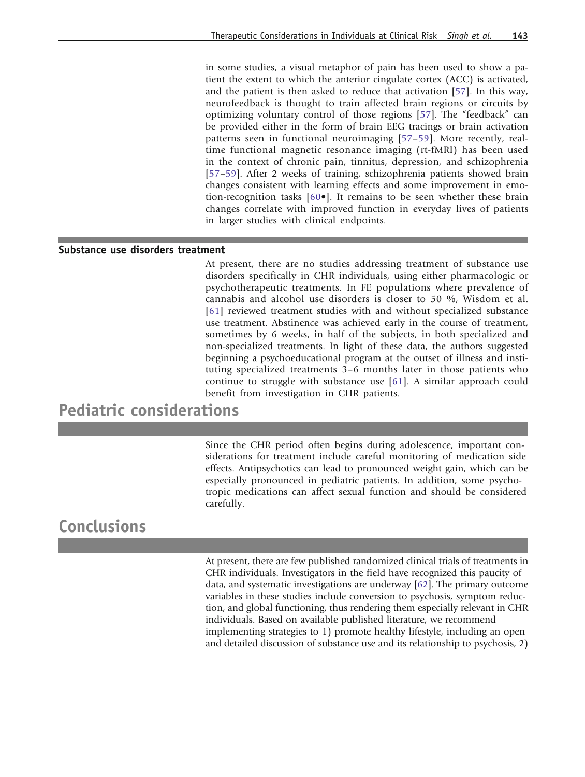in some studies, a visual metaphor of pain has been used to show a patient the extent to which the anterior cingulate cortex (ACC) is activated, and the patient is then asked to reduce that activation [[57\]](#page-13-0). In this way, neurofeedback is thought to train affected brain regions or circuits by optimizing voluntary control of those regions [[57](#page-13-0)]. The "feedback" can be provided either in the form of brain EEG tracings or brain activation patterns seen in functional neuroimaging [[57](#page-13-0)–[59](#page-13-0)]. More recently, realtime functional magnetic resonance imaging (rt-fMRI) has been used in the context of chronic pain, tinnitus, depression, and schizophrenia [[57](#page-13-0)–[59\]](#page-13-0). After 2 weeks of training, schizophrenia patients showed brain changes consistent with learning effects and some improvement in emotion-recognition tasks [[60](#page-13-0)•]. It remains to be seen whether these brain changes correlate with improved function in everyday lives of patients in larger studies with clinical endpoints.

# Substance use disorders treatment

At present, there are no studies addressing treatment of substance use disorders specifically in CHR individuals, using either pharmacologic or psychotherapeutic treatments. In FE populations where prevalence of cannabis and alcohol use disorders is closer to 50 %, Wisdom et al. [[61](#page-14-0)] reviewed treatment studies with and without specialized substance use treatment. Abstinence was achieved early in the course of treatment, sometimes by 6 weeks, in half of the subjects, in both specialized and non-specialized treatments. In light of these data, the authors suggested beginning a psychoeducational program at the outset of illness and instituting specialized treatments 3–6 months later in those patients who continue to struggle with substance use [\[61\]](#page-14-0). A similar approach could benefit from investigation in CHR patients.

# Pediatric considerations

Since the CHR period often begins during adolescence, important considerations for treatment include careful monitoring of medication side effects. Antipsychotics can lead to pronounced weight gain, which can be especially pronounced in pediatric patients. In addition, some psychotropic medications can affect sexual function and should be considered carefully.

# Conclusions

At present, there are few published randomized clinical trials of treatments in CHR individuals. Investigators in the field have recognized this paucity of data, and systematic investigations are underway [[62](#page-14-0)]. The primary outcome variables in these studies include conversion to psychosis, symptom reduction, and global functioning, thus rendering them especially relevant in CHR individuals. Based on available published literature, we recommend implementing strategies to 1) promote healthy lifestyle, including an open and detailed discussion of substance use and its relationship to psychosis, 2)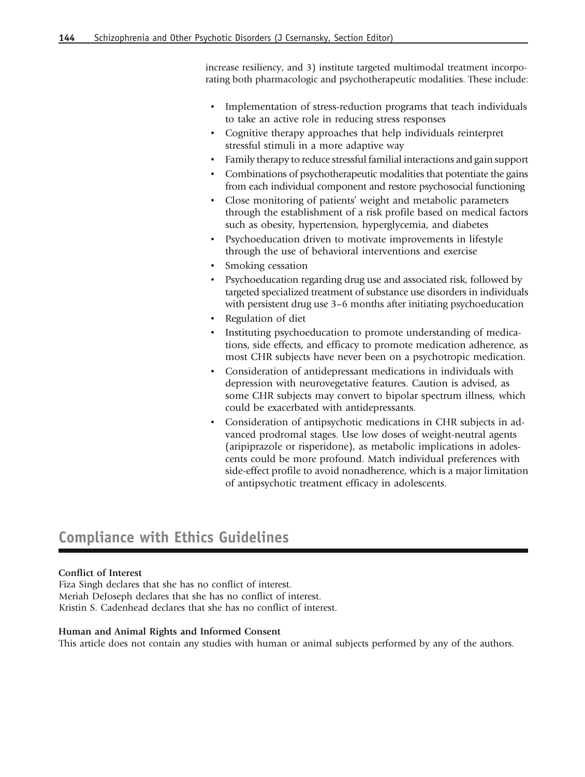increase resiliency, and 3) institute targeted multimodal treatment incorporating both pharmacologic and psychotherapeutic modalities. These include:

- & Implementation of stress-reduction programs that teach individuals to take an active role in reducing stress responses
- & Cognitive therapy approaches that help individuals reinterpret stressful stimuli in a more adaptive way
- & Family therapy to reduce stressful familial interactions and gain support
- & Combinations of psychotherapeutic modalities that potentiate the gains from each individual component and restore psychosocial functioning
- & Close monitoring of patients' weight and metabolic parameters through the establishment of a risk profile based on medical factors such as obesity, hypertension, hyperglycemia, and diabetes
- & Psychoeducation driven to motivate improvements in lifestyle through the use of behavioral interventions and exercise
- & Smoking cessation
- Psychoeducation regarding drug use and associated risk, followed by targeted specialized treatment of substance use disorders in individuals with persistent drug use 3–6 months after initiating psychoeducation
- & Regulation of diet
- Instituting psychoeducation to promote understanding of medications, side effects, and efficacy to promote medication adherence, as most CHR subjects have never been on a psychotropic medication.
- & Consideration of antidepressant medications in individuals with depression with neurovegetative features. Caution is advised, as some CHR subjects may convert to bipolar spectrum illness, which could be exacerbated with antidepressants.
- & Consideration of antipsychotic medications in CHR subjects in advanced prodromal stages. Use low doses of weight-neutral agents (aripiprazole or risperidone), as metabolic implications in adolescents could be more profound. Match individual preferences with side-effect profile to avoid nonadherence, which is a major limitation of antipsychotic treatment efficacy in adolescents.

# Compliance with Ethics Guidelines

# Conflict of Interest

Fiza Singh declares that she has no conflict of interest. Meriah DeJoseph declares that she has no conflict of interest. Kristin S. Cadenhead declares that she has no conflict of interest.

# Human and Animal Rights and Informed Consent

This article does not contain any studies with human or animal subjects performed by any of the authors.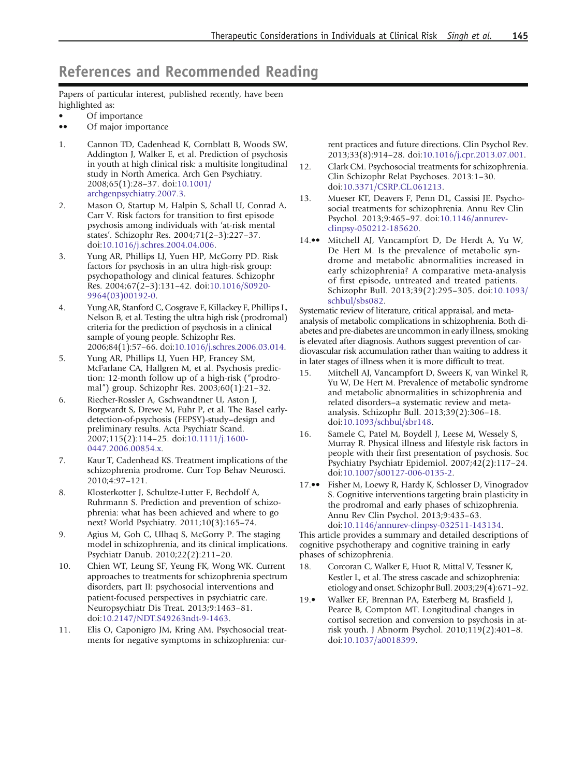# <span id="page-11-0"></span>References and Recommended Reading

Papers of particular interest, published recently, have been highlighted as:

- Of importance
- •• Of major importance
- 1. Cannon TD, Cadenhead K, Cornblatt B, Woods SW, Addington J, Walker E, et al. Prediction of psychosis in youth at high clinical risk: a multisite longitudinal study in North America. Arch Gen Psychiatry. 2008;65(1):28–37. doi[:10.1001/](http://dx.doi.org/10.1001/archgenpsychiatry.2007.3) [archgenpsychiatry.2007.3](http://dx.doi.org/10.1001/archgenpsychiatry.2007.3).
- 2. Mason O, Startup M, Halpin S, Schall U, Conrad A, Carr V. Risk factors for transition to first episode psychosis among individuals with 'at-risk mental states'. Schizophr Res. 2004;71(2–3):227–37. doi[:10.1016/j.schres.2004.04.006](http://dx.doi.org/10.1016/j.schres.2004.04.006).
- 3. Yung AR, Phillips LJ, Yuen HP, McGorry PD. Risk factors for psychosis in an ultra high-risk group: psychopathology and clinical features. Schizophr Res. 2004;67(2–3):131–42. doi[:10.1016/S0920-](http://dx.doi.org/10.1016/S0920-9964(03)00192-0) [9964\(03\)00192-0](http://dx.doi.org/10.1016/S0920-9964(03)00192-0).
- 4. Yung AR, Stanford C, Cosgrave E, Killackey E, Phillips L, Nelson B, et al. Testing the ultra high risk (prodromal) criteria for the prediction of psychosis in a clinical sample of young people. Schizophr Res. 2006;84(1):57–66. doi:[10.1016/j.schres.2006.03.014](http://dx.doi.org/10.1016/j.schres.2006.03.014).
- 5. Yung AR, Phillips LJ, Yuen HP, Francey SM, McFarlane CA, Hallgren M, et al. Psychosis prediction: 12-month follow up of a high-risk ("prodromal") group. Schizophr Res. 2003;60(1):21–32.
- 6. Riecher-Rossler A, Gschwandtner U, Aston J, Borgwardt S, Drewe M, Fuhr P, et al. The Basel earlydetection-of-psychosis (FEPSY)-study–design and preliminary results. Acta Psychiatr Scand. 2007;115(2):114–25. doi[:10.1111/j.1600-](http://dx.doi.org/10.1111/j.1600-0447.2006.00854.x) [0447.2006.00854.x](http://dx.doi.org/10.1111/j.1600-0447.2006.00854.x).
- 7. Kaur T, Cadenhead KS. Treatment implications of the schizophrenia prodrome. Curr Top Behav Neurosci. 2010;4:97–121.
- 8. Klosterkotter J, Schultze-Lutter F, Bechdolf A, Ruhrmann S. Prediction and prevention of schizophrenia: what has been achieved and where to go next? World Psychiatry. 2011;10(3):165–74.
- 9. Agius M, Goh C, Ulhaq S, McGorry P. The staging model in schizophrenia, and its clinical implications. Psychiatr Danub. 2010;22(2):211–20.
- 10. Chien WT, Leung SF, Yeung FK, Wong WK. Current approaches to treatments for schizophrenia spectrum disorders, part II: psychosocial interventions and patient-focused perspectives in psychiatric care. Neuropsychiatr Dis Treat. 2013;9:1463–81. doi:[10.2147/NDT.S49263ndt-9-1463.](http://dx.doi.org/10.2147/NDT.S49263ndt-9-1463)
- 11. Elis O, Caponigro JM, Kring AM. Psychosocial treatments for negative symptoms in schizophrenia: cur-

rent practices and future directions. Clin Psychol Rev. 2013;33(8):914–28. doi[:10.1016/j.cpr.2013.07.001](http://dx.doi.org/10.1016/j.cpr.2013.07.001).

- 12. Clark CM. Psychosocial treatments for schizophrenia. Clin Schizophr Relat Psychoses. 2013:1–30. doi[:10.3371/CSRP.CL.061213](http://dx.doi.org/10.3371/CSRP.CL.061213).
- 13. Mueser KT, Deavers F, Penn DL, Cassisi JE. Psychosocial treatments for schizophrenia. Annu Rev Clin Psychol. 2013;9:465–97. doi[:10.1146/annurev](http://dx.doi.org/10.1146/annurev-clinpsy-050212-185620)[clinpsy-050212-185620.](http://dx.doi.org/10.1146/annurev-clinpsy-050212-185620)
- 14.•• Mitchell AJ, Vancampfort D, De Herdt A, Yu W, De Hert M. Is the prevalence of metabolic syndrome and metabolic abnormalities increased in early schizophrenia? A comparative meta-analysis of first episode, untreated and treated patients. Schizophr Bull. 2013;39(2):295–305. doi:[10.1093/](http://dx.doi.org/10.1093/schbul/sbs082) [schbul/sbs082.](http://dx.doi.org/10.1093/schbul/sbs082)

Systematic review of literature, critical appraisal, and metaanalysis of metabolic complications in schizophrenia. Both diabetes and pre-diabetes are uncommon in early illness, smoking is elevated after diagnosis. Authors suggest prevention of cardiovascular risk accumulation rather than waiting to address it in later stages of illness when it is more difficult to treat.

- 15. Mitchell AJ, Vancampfort D, Sweers K, van Winkel R, Yu W, De Hert M. Prevalence of metabolic syndrome and metabolic abnormalities in schizophrenia and related disorders–a systematic review and metaanalysis. Schizophr Bull. 2013;39(2):306–18. doi[:10.1093/schbul/sbr148](http://dx.doi.org/10.1093/schbul/sbr148).
- 16. Samele C, Patel M, Boydell J, Leese M, Wessely S, Murray R. Physical illness and lifestyle risk factors in people with their first presentation of psychosis. Soc Psychiatry Psychiatr Epidemiol. 2007;42(2):117–24. doi[:10.1007/s00127-006-0135-2](http://dx.doi.org/10.1007/s00127-006-0135-2).
- 17.•• Fisher M, Loewy R, Hardy K, Schlosser D, Vinogradov S. Cognitive interventions targeting brain plasticity in the prodromal and early phases of schizophrenia. Annu Rev Clin Psychol. 2013;9:435–63. doi[:10.1146/annurev-clinpsy-032511-143134.](http://dx.doi.org/10.1146/annurev-clinpsy-032511-143134)

This article provides a summary and detailed descriptions of cognitive psychotherapy and cognitive training in early phases of schizophrenia.

- 18. Corcoran C, Walker E, Huot R, Mittal V, Tessner K, Kestler L, et al. The stress cascade and schizophrenia: etiology and onset. Schizophr Bull. 2003;29(4):671–92.
- 19.• Walker EF, Brennan PA, Esterberg M, Brasfield J, Pearce B, Compton MT. Longitudinal changes in cortisol secretion and conversion to psychosis in atrisk youth. J Abnorm Psychol. 2010;119(2):401–8. doi[:10.1037/a0018399](http://dx.doi.org/10.1037/a0018399).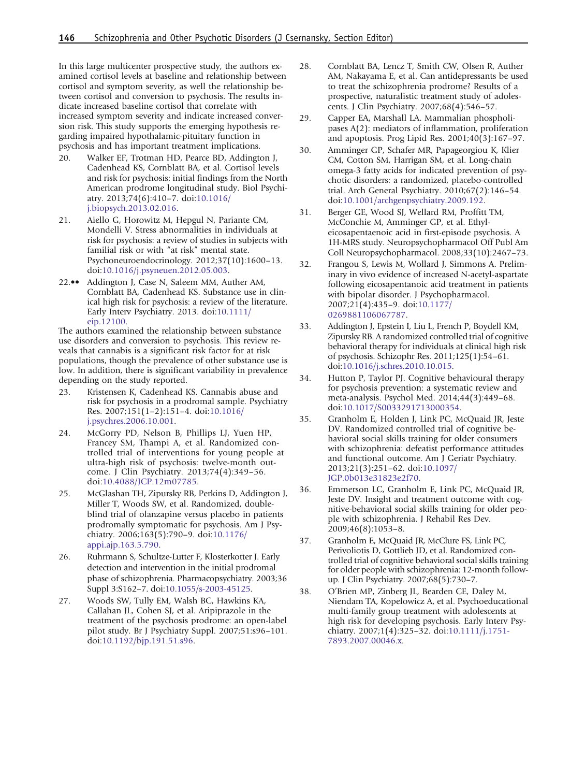<span id="page-12-0"></span>In this large multicenter prospective study, the authors examined cortisol levels at baseline and relationship between cortisol and symptom severity, as well the relationship between cortisol and conversion to psychosis. The results indicate increased baseline cortisol that correlate with increased symptom severity and indicate increased conversion risk. This study supports the emerging hypothesis regarding impaired hypothalamic-pituitary function in psychosis and has important treatment implications.

- 20. Walker EF, Trotman HD, Pearce BD, Addington J, Cadenhead KS, Cornblatt BA, et al. Cortisol levels and risk for psychosis: initial findings from the North American prodrome longitudinal study. Biol Psychiatry. 2013;74(6):410–7. doi[:10.1016/](http://dx.doi.org/10.1016/j.biopsych.2013.02.016) [j.biopsych.2013.02.016.](http://dx.doi.org/10.1016/j.biopsych.2013.02.016)
- 21. Aiello G, Horowitz M, Hepgul N, Pariante CM, Mondelli V. Stress abnormalities in individuals at risk for psychosis: a review of studies in subjects with familial risk or with "at risk" mental state. Psychoneuroendocrinology. 2012;37(10):1600–13. doi:[10.1016/j.psyneuen.2012.05.003.](http://dx.doi.org/10.1016/j.psyneuen.2012.05.003)
- 22.•• Addington J, Case N, Saleem MM, Auther AM, Cornblatt BA, Cadenhead KS. Substance use in clinical high risk for psychosis: a review of the literature. Early Interv Psychiatry. 2013. doi:[10.1111/](http://dx.doi.org/10.1111/eip.12100) [eip.12100.](http://dx.doi.org/10.1111/eip.12100)

The authors examined the relationship between substance use disorders and conversion to psychosis. This review reveals that cannabis is a significant risk factor for at risk populations, though the prevalence of other substance use is low. In addition, there is significant variability in prevalence depending on the study reported.

- 23. Kristensen K, Cadenhead KS. Cannabis abuse and risk for psychosis in a prodromal sample. Psychiatry Res. 2007;151(1–2):151–4. doi[:10.1016/](http://dx.doi.org/10.1016/j.psychres.2006.10.001) [j.psychres.2006.10.001](http://dx.doi.org/10.1016/j.psychres.2006.10.001).
- 24. McGorry PD, Nelson B, Phillips LJ, Yuen HP, Francey SM, Thampi A, et al. Randomized controlled trial of interventions for young people at ultra-high risk of psychosis: twelve-month outcome. J Clin Psychiatry. 2013;74(4):349-56. doi[:10.4088/JCP.12m07785](http://dx.doi.org/10.4088/JCP.12m07785).
- 25. McGlashan TH, Zipursky RB, Perkins D, Addington J, Miller T, Woods SW, et al. Randomized, doubleblind trial of olanzapine versus placebo in patients prodromally symptomatic for psychosis. Am J Psychiatry. 2006;163(5):790–9. doi:[10.1176/](http://dx.doi.org/10.1176/appi.ajp.163.5.790) [appi.ajp.163.5.790.](http://dx.doi.org/10.1176/appi.ajp.163.5.790)
- 26. Ruhrmann S, Schultze-Lutter F, Klosterkotter J. Early detection and intervention in the initial prodromal phase of schizophrenia. Pharmacopsychiatry. 2003;36 Suppl 3:S162–7. doi[:10.1055/s-2003-45125](http://dx.doi.org/10.1055/s-2003-45125).
- 27. Woods SW, Tully EM, Walsh BC, Hawkins KA, Callahan JL, Cohen SJ, et al. Aripiprazole in the treatment of the psychosis prodrome: an open-label pilot study. Br J Psychiatry Suppl. 2007;51:s96–101. doi:[10.1192/bjp.191.51.s96.](http://dx.doi.org/10.1192/bjp.191.51.s96)
- 28. Cornblatt BA, Lencz T, Smith CW, Olsen R, Auther AM, Nakayama E, et al. Can antidepressants be used to treat the schizophrenia prodrome? Results of a prospective, naturalistic treatment study of adolescents. J Clin Psychiatry. 2007;68(4):546–57.
- 29. Capper EA, Marshall LA. Mammalian phospholipases A(2): mediators of inflammation, proliferation and apoptosis. Prog Lipid Res. 2001;40(3):167–97.
- 30. Amminger GP, Schafer MR, Papageorgiou K, Klier CM, Cotton SM, Harrigan SM, et al. Long-chain omega-3 fatty acids for indicated prevention of psychotic disorders: a randomized, placebo-controlled trial. Arch General Psychiatry. 2010;67(2):146–54. doi[:10.1001/archgenpsychiatry.2009.192](http://dx.doi.org/10.1001/archgenpsychiatry.2009.192).
- 31. Berger GE, Wood SJ, Wellard RM, Proffitt TM, McConchie M, Amminger GP, et al. Ethyleicosapentaenoic acid in first-episode psychosis. A 1H-MRS study. Neuropsychopharmacol Off Publ Am Coll Neuropsychopharmacol. 2008;33(10):2467–73.
- 32. Frangou S, Lewis M, Wollard J, Simmons A. Preliminary in vivo evidence of increased N-acetyl-aspartate following eicosapentanoic acid treatment in patients with bipolar disorder. J Psychopharmacol. 2007;21(4):435–9. doi[:10.1177/](http://dx.doi.org/10.1177/0269881106067787) [0269881106067787](http://dx.doi.org/10.1177/0269881106067787).
- 33. Addington J, Epstein I, Liu L, French P, Boydell KM, Zipursky RB. A randomized controlled trial of cognitive behavioral therapy for individuals at clinical high risk of psychosis. Schizophr Res. 2011;125(1):54–61. doi:[10.1016/j.schres.2010.10.015](http://dx.doi.org/10.1016/j.schres.2010.10.015).
- 34. Hutton P, Taylor PJ. Cognitive behavioural therapy for psychosis prevention: a systematic review and meta-analysis. Psychol Med. 2014;44(3):449–68. doi[:10.1017/S0033291713000354.](http://dx.doi.org/10.1017/S0033291713000354)
- 35. Granholm E, Holden J, Link PC, McQuaid JR, Jeste DV. Randomized controlled trial of cognitive behavioral social skills training for older consumers with schizophrenia: defeatist performance attitudes and functional outcome. Am J Geriatr Psychiatry. 2013;21(3):251–62. doi[:10.1097/](http://dx.doi.org/10.1097/JGP.0b013e31823e2f70) [JGP.0b013e31823e2f70](http://dx.doi.org/10.1097/JGP.0b013e31823e2f70).
- 36. Emmerson LC, Granholm E, Link PC, McQuaid JR, Jeste DV. Insight and treatment outcome with cognitive-behavioral social skills training for older people with schizophrenia. J Rehabil Res Dev. 2009;46(8):1053–8.
- 37. Granholm E, McQuaid JR, McClure FS, Link PC, Perivoliotis D, Gottlieb JD, et al. Randomized controlled trial of cognitive behavioral social skills training for older people with schizophrenia: 12-month followup. J Clin Psychiatry. 2007;68(5):730–7.
- 38. O'Brien MP, Zinberg JL, Bearden CE, Daley M, Niendam TA, Kopelowicz A, et al. Psychoeducational multi-family group treatment with adolescents at high risk for developing psychosis. Early Interv Psychiatry. 2007;1(4):325–32. doi:[10.1111/j.1751-](http://dx.doi.org/10.1111/j.1751-7893.2007.00046.x) [7893.2007.00046.x](http://dx.doi.org/10.1111/j.1751-7893.2007.00046.x).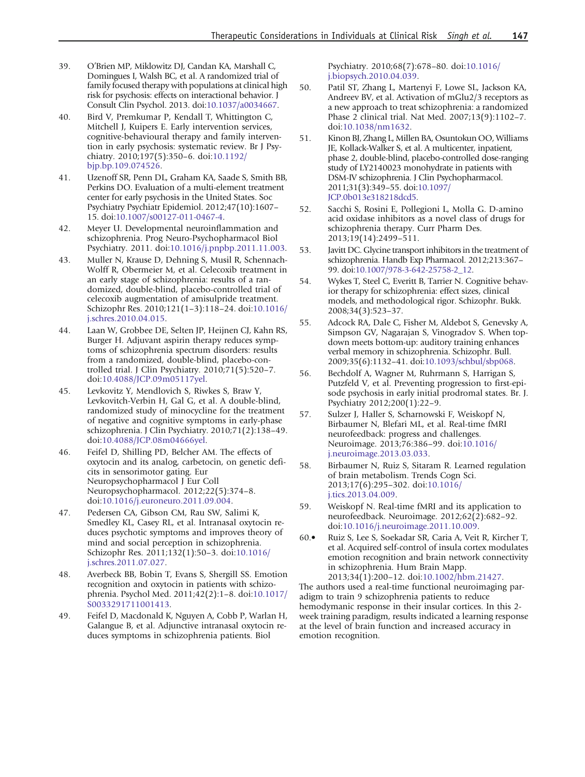- <span id="page-13-0"></span>39. O'Brien MP, Miklowitz DJ, Candan KA, Marshall C, Domingues I, Walsh BC, et al. A randomized trial of family focused therapy with populations at clinical high risk for psychosis: effects on interactional behavior. J Consult Clin Psychol. 2013. doi[:10.1037/a0034667](http://dx.doi.org/10.1037/a0034667).
- 40. Bird V, Premkumar P, Kendall T, Whittington C, Mitchell J, Kuipers E. Early intervention services, cognitive-behavioural therapy and family intervention in early psychosis: systematic review. Br J Psychiatry. 2010;197(5):350–6. doi:[10.1192/](http://dx.doi.org/10.1192/bjp.bp.109.074526) [bjp.bp.109.074526](http://dx.doi.org/10.1192/bjp.bp.109.074526).
- 41. Uzenoff SR, Penn DL, Graham KA, Saade S, Smith BB, Perkins DO. Evaluation of a multi-element treatment center for early psychosis in the United States. Soc Psychiatry Psychiatr Epidemiol. 2012;47(10):1607– 15. doi[:10.1007/s00127-011-0467-4.](http://dx.doi.org/10.1007/s00127-011-0467-4)
- 42. Meyer U. Developmental neuroinflammation and schizophrenia. Prog Neuro-Psychopharmacol Biol Psychiatry. 2011. doi[:10.1016/j.pnpbp.2011.11.003](http://dx.doi.org/10.1016/j.pnpbp.2011.11.003).
- 43. Muller N, Krause D, Dehning S, Musil R, Schennach-Wolff R, Obermeier M, et al. Celecoxib treatment in an early stage of schizophrenia: results of a randomized, double-blind, placebo-controlled trial of celecoxib augmentation of amisulpride treatment. Schizophr Res. 2010;121(1–3):118–24. doi:[10.1016/](http://dx.doi.org/10.1016/j.schres.2010.04.015) [j.schres.2010.04.015.](http://dx.doi.org/10.1016/j.schres.2010.04.015)
- 44. Laan W, Grobbee DE, Selten JP, Heijnen CJ, Kahn RS, Burger H. Adjuvant aspirin therapy reduces symptoms of schizophrenia spectrum disorders: results from a randomized, double-blind, placebo-controlled trial. J Clin Psychiatry. 2010;71(5):520–7. doi:[10.4088/JCP.09m05117yel](http://dx.doi.org/10.4088/JCP.09m05117yel).
- 45. Levkovitz Y, Mendlovich S, Riwkes S, Braw Y, Levkovitch-Verbin H, Gal G, et al. A double-blind, randomized study of minocycline for the treatment of negative and cognitive symptoms in early-phase schizophrenia. J Clin Psychiatry. 2010;71(2):138–49. doi:[10.4088/JCP.08m04666yel](http://dx.doi.org/10.4088/JCP.08m04666yel).
- 46. Feifel D, Shilling PD, Belcher AM. The effects of oxytocin and its analog, carbetocin, on genetic deficits in sensorimotor gating. Eur Neuropsychopharmacol J Eur Coll Neuropsychopharmacol. 2012;22(5):374–8. doi:[10.1016/j.euroneuro.2011.09.004](http://dx.doi.org/10.1016/j.euroneuro.2011.09.004).
- 47. Pedersen CA, Gibson CM, Rau SW, Salimi K, Smedley KL, Casey RL, et al. Intranasal oxytocin reduces psychotic symptoms and improves theory of mind and social perception in schizophrenia. Schizophr Res. 2011;132(1):50–3. doi[:10.1016/](http://dx.doi.org/10.1016/j.schres.2011.07.027) [j.schres.2011.07.027.](http://dx.doi.org/10.1016/j.schres.2011.07.027)
- 48. Averbeck BB, Bobin T, Evans S, Shergill SS. Emotion recognition and oxytocin in patients with schizophrenia. Psychol Med. 2011;42(2):1–8. doi:[10.1017/](http://dx.doi.org/10.1017/S0033291711001413) [S0033291711001413.](http://dx.doi.org/10.1017/S0033291711001413)
- 49. Feifel D, Macdonald K, Nguyen A, Cobb P, Warlan H, Galangue B, et al. Adjunctive intranasal oxytocin reduces symptoms in schizophrenia patients. Biol

Psychiatry. 2010;68(7):678–80. doi:[10.1016/](http://dx.doi.org/10.1016/j.biopsych.2010.04.039) [j.biopsych.2010.04.039.](http://dx.doi.org/10.1016/j.biopsych.2010.04.039)

- 50. Patil ST, Zhang L, Martenyi F, Lowe SL, Jackson KA, Andreev BV, et al. Activation of mGlu2/3 receptors as a new approach to treat schizophrenia: a randomized Phase 2 clinical trial. Nat Med. 2007;13(9):1102–7. doi[:10.1038/nm1632](http://dx.doi.org/10.1038/nm1632).
- 51. Kinon BJ, Zhang L, Millen BA, Osuntokun OO, Williams JE, Kollack-Walker S, et al. A multicenter, inpatient, phase 2, double-blind, placebo-controlled dose-ranging study of LY2140023 monohydrate in patients with DSM-IV schizophrenia. J Clin Psychopharmacol. 2011;31(3):349–55. doi[:10.1097/](http://dx.doi.org/10.1097/JCP.0b013e318218dcd5) [JCP.0b013e318218dcd5.](http://dx.doi.org/10.1097/JCP.0b013e318218dcd5)
- 52. Sacchi S, Rosini E, Pollegioni L, Molla G. D-amino acid oxidase inhibitors as a novel class of drugs for schizophrenia therapy. Curr Pharm Des. 2013;19(14):2499–511.
- 53. Javitt DC. Glycine transport inhibitors in the treatment of schizophrenia. Handb Exp Pharmacol. 2012;213:367– 99. doi[:10.1007/978-3-642-25758-2\\_12](http://dx.doi.org/10.1007/978-3-642-25758-2_12).
- 54. Wykes T, Steel C, Everitt B, Tarrier N. Cognitive behavior therapy for schizophrenia: effect sizes, clinical models, and methodological rigor. Schizophr. Bukk. 2008;34(3):523–37.
- 55. Adcock RA, Dale C, Fisher M, Aldebot S, Genevsky A, Simpson GV, Nagarajan S, Vinogradov S. When topdown meets bottom-up: auditory training enhances verbal memory in schizophrenia. Schizophr. Bull. 2009;35(6):1132–41. doi:[10.1093/schbul/sbp068.](http://dx.doi.org/10.1093/schbul/sbp068)
- 56. Bechdolf A, Wagner M, Ruhrmann S, Harrigan S, Putzfeld V, et al. Preventing progression to first-episode psychosis in early initial prodromal states. Br. J. Psychiatry 2012;200(1):22–9.
- 57. Sulzer J, Haller S, Scharnowski F, Weiskopf N, Birbaumer N, Blefari ML, et al. Real-time fMRI neurofeedback: progress and challenges. Neuroimage. 2013;76:386–99. doi:[10.1016/](http://dx.doi.org/10.1016/j.neuroimage.2013.03.033) [j.neuroimage.2013.03.033.](http://dx.doi.org/10.1016/j.neuroimage.2013.03.033)
- 58. Birbaumer N, Ruiz S, Sitaram R. Learned regulation of brain metabolism. Trends Cogn Sci. 2013;17(6):295–302. doi[:10.1016/](http://dx.doi.org/10.1016/j.tics.2013.04.009) [j.tics.2013.04.009](http://dx.doi.org/10.1016/j.tics.2013.04.009).
- 59. Weiskopf N. Real-time fMRI and its application to neurofeedback. Neuroimage. 2012;62(2):682–92. doi[:10.1016/j.neuroimage.2011.10.009](http://dx.doi.org/10.1016/j.neuroimage.2011.10.009).
- 60.• Ruiz S, Lee S, Soekadar SR, Caria A, Veit R, Kircher T, et al. Acquired self-control of insula cortex modulates emotion recognition and brain network connectivity in schizophrenia. Hum Brain Mapp. 2013;34(1):200–12. doi[:10.1002/hbm.21427.](http://dx.doi.org/10.1002/hbm.21427)

The authors used a real-time functional neuroimaging paradigm to train 9 schizophrenia patients to reduce hemodymanic response in their insular cortices. In this 2 week training paradigm, results indicated a learning response at the level of brain function and increased accuracy in emotion recognition.